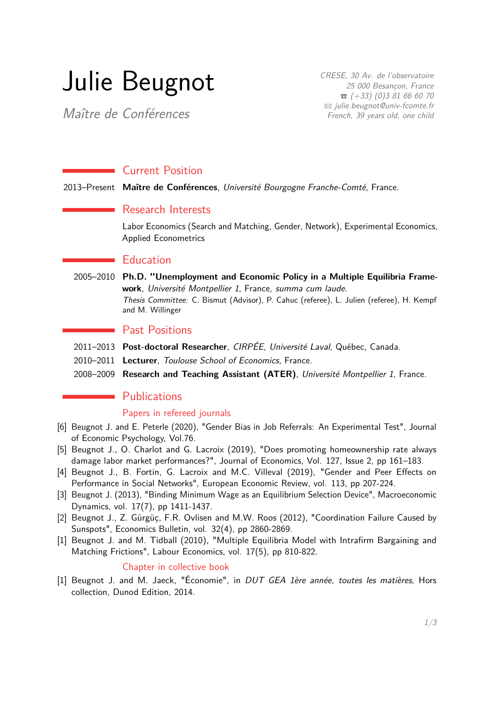# Julie Beugnot

Maître de Conférences

CRESE, 30 Av. de l'observatoire 25 000 Besançon, France  $\hat{B}$  (+33) (0)3 81 66 60 70 B [julie.beugnot@univ-fcomte.fr](mailto:julie.beugnot@univ-fcomte.fr) French, 39 years old, one child

# **Current Position**

2013–Present **Maître de Conférences**, Université Bourgogne Franche-Comté, France.

### Research Interests

Labor Economics (Search and Matching, Gender, Network), Experimental Economics, Applied Econometrics

### **Education**

2005–2010 **Ph.D. "Unemployment and Economic Policy in a Multiple Equilibria Framework**, Université Montpellier 1, France, summa cum laude. Thesis Committee: C. Bismut (Advisor), P. Cahuc (referee), L. Julien (referee), H. Kempf and M. Willinger

# Past Positions

- 2011–2013 **Post-doctoral Researcher**, CIRPÉE, Université Laval, Québec, Canada.
- 2010–2011 **Lecturer**, Toulouse School of Economics, France.
- 2008–2009 **Research and Teaching Assistant (ATER)**, Université Montpellier 1, France.

# **Publications**

### Papers in refereed journals

- [6] Beugnot J. and E. Peterle (2020), "Gender Bias in Job Referrals: An Experimental Test", Journal of Economic Psychology, Vol.76.
- [5] Beugnot J., O. Charlot and G. Lacroix (2019), "Does promoting homeownership rate always damage labor market performances?", Journal of Economics, Vol. 127, Issue 2, pp 161–183.
- [4] Beugnot J., B. Fortin, G. Lacroix and M.C. Villeval (2019), "Gender and Peer Effects on Performance in Social Networks", European Economic Review, vol. 113, pp 207-224.
- [3] Beugnot J. (2013), "Binding Minimum Wage as an Equilibrium Selection Device", Macroeconomic Dynamics, vol. 17(7), pp 1411-1437.
- [2] Beugnot J., Z. Gürgüç, F.R. Ovlisen and M.W. Roos (2012), "Coordination Failure Caused by Sunspots", Economics Bulletin, vol. 32(4), pp 2860-2869.
- [1] Beugnot J. and M. Tidball (2010), "Multiple Equilibria Model with Intrafirm Bargaining and Matching Frictions", Labour Economics, vol. 17(5), pp 810-822.

#### Chapter in collective book

[1] Beugnot J. and M. Jaeck, "Économie", in DUT GEA 1ère année, toutes les matières, Hors collection, Dunod Edition, 2014.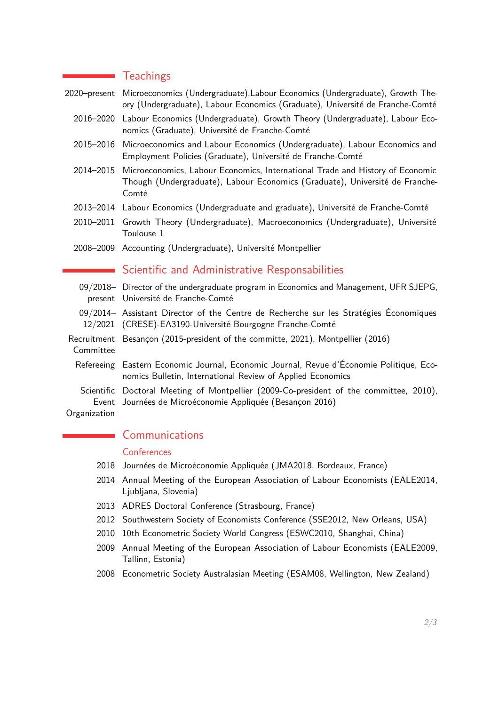## **T**eachings

2020–present Microeconomics (Undergraduate),Labour Economics (Undergraduate), Growth Theory (Undergraduate), Labour Economics (Graduate), Université de Franche-Comté

- 2016–2020 Labour Economics (Undergraduate), Growth Theory (Undergraduate), Labour Economics (Graduate), Université de Franche-Comté
- 2015–2016 Microeconomics and Labour Economics (Undergraduate), Labour Economics and Employment Policies (Graduate), Université de Franche-Comté
- 2014–2015 Microeconomics, Labour Economics, International Trade and History of Economic Though (Undergraduate), Labour Economics (Graduate), Université de Franche-Comté
- 2013–2014 Labour Economics (Undergraduate and graduate), Université de Franche-Comté
- 2010–2011 Growth Theory (Undergraduate), Macroeconomics (Undergraduate), Université Toulouse 1
- 2008–2009 Accounting (Undergraduate), Université Montpellier

# Scientific and Administrative Responsabilities

09/2018– Director of the undergraduate program in Economics and Management, UFR SJEPG, present Université de Franche-Comté 09/2014– Assistant Director of the Centre de Recherche sur les Stratégies Économiques 12/2021 (CRESE)-EA3190-Université Bourgogne Franche-Comté Recruitment Besançon (2015-president of the committe, 2021), Montpellier (2016) Committee Refereeing Eastern Economic Journal, Economic Journal, Revue d'Économie Politique, Economics Bulletin, International Review of Applied Economics Scientific Doctoral Meeting of Montpellier (2009-Co-president of the committee, 2010), Event Journées de Microéconomie Appliquée (Besançon 2016)

**Organization** 

## Communications

#### **Conferences**

- 2018 Journées de Microéconomie Appliquée (JMA2018, Bordeaux, France)
- 2014 Annual Meeting of the European Association of Labour Economists (EALE2014, Ljubljana, Slovenia)
- 2013 ADRES Doctoral Conference (Strasbourg, France)
- 2012 Southwestern Society of Economists Conference (SSE2012, New Orleans, USA)
- 2010 10th Econometric Society World Congress (ESWC2010, Shanghai, China)
- 2009 Annual Meeting of the European Association of Labour Economists (EALE2009, Tallinn, Estonia)
- 2008 Econometric Society Australasian Meeting (ESAM08, Wellington, New Zealand)